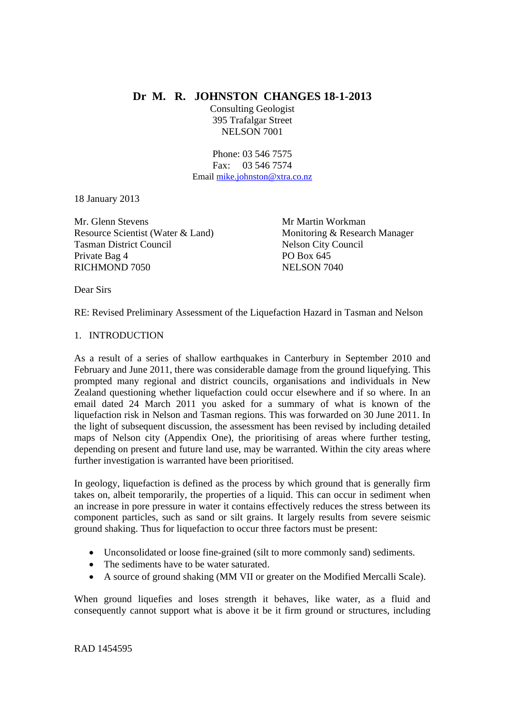# **Dr M. R. JOHNSTON CHANGES 18-1-2013**

Consulting Geologist 395 Trafalgar Street NELSON 7001

Phone: 03 546 7575 Fax: 03 546 7574 Email mike.johnston@xtra.co.nz

18 January 2013

Mr. Glenn Stevens Mr Martin Workman Resource Scientist (Water & Land) Monitoring & Research Manager Tasman District Council Nelson City Council Private Bag 4 PO Box 645 RICHMOND 7050 NELSON 7040

Dear Sirs

RE: Revised Preliminary Assessment of the Liquefaction Hazard in Tasman and Nelson

# 1. INTRODUCTION

As a result of a series of shallow earthquakes in Canterbury in September 2010 and February and June 2011, there was considerable damage from the ground liquefying. This prompted many regional and district councils, organisations and individuals in New Zealand questioning whether liquefaction could occur elsewhere and if so where. In an email dated 24 March 2011 you asked for a summary of what is known of the liquefaction risk in Nelson and Tasman regions. This was forwarded on 30 June 2011. In the light of subsequent discussion, the assessment has been revised by including detailed maps of Nelson city (Appendix One), the prioritising of areas where further testing, depending on present and future land use, may be warranted. Within the city areas where further investigation is warranted have been prioritised.

In geology, liquefaction is defined as the process by which ground that is generally firm takes on, albeit temporarily, the properties of a liquid. This can occur in sediment when an increase in pore pressure in water it contains effectively reduces the stress between its component particles, such as sand or silt grains. It largely results from severe seismic ground shaking. Thus for liquefaction to occur three factors must be present:

- Unconsolidated or loose fine-grained (silt to more commonly sand) sediments.
- The sediments have to be water saturated.
- A source of ground shaking (MM VII or greater on the Modified Mercalli Scale).

When ground liquefies and loses strength it behaves, like water, as a fluid and consequently cannot support what is above it be it firm ground or structures, including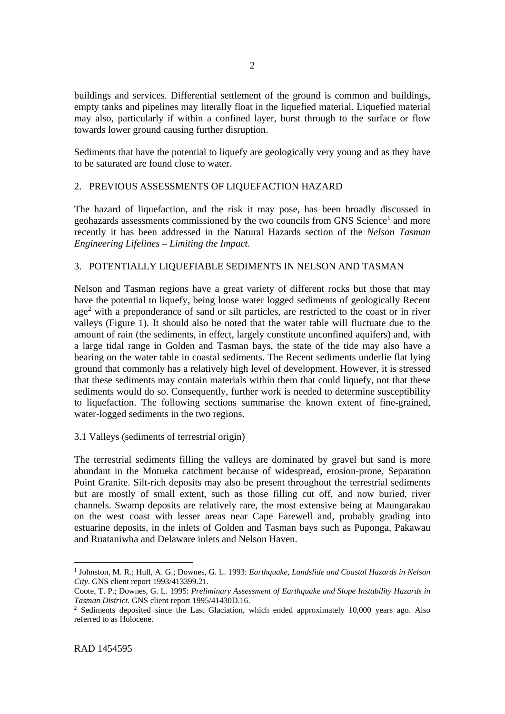buildings and services. Differential settlement of the ground is common and buildings, empty tanks and pipelines may literally float in the liquefied material. Liquefied material may also, particularly if within a confined layer, burst through to the surface or flow towards lower ground causing further disruption.

Sediments that have the potential to liquefy are geologically very young and as they have to be saturated are found close to water.

# 2. PREVIOUS ASSESSMENTS OF LIQUEFACTION HAZARD

The hazard of liquefaction, and the risk it may pose, has been broadly discussed in geohazards assessments commissioned by the two councils from GNS Science<sup>1</sup> and more recently it has been addressed in the Natural Hazards section of the *Nelson Tasman Engineering Lifelines – Limiting the Impact*.

## 3. POTENTIALLY LIQUEFIABLE SEDIMENTS IN NELSON AND TASMAN

Nelson and Tasman regions have a great variety of different rocks but those that may have the potential to liquefy, being loose water logged sediments of geologically Recent age<sup>2</sup> with a preponderance of sand or silt particles, are restricted to the coast or in river valleys (Figure 1). It should also be noted that the water table will fluctuate due to the amount of rain (the sediments, in effect, largely constitute unconfined aquifers) and, with a large tidal range in Golden and Tasman bays, the state of the tide may also have a bearing on the water table in coastal sediments. The Recent sediments underlie flat lying ground that commonly has a relatively high level of development. However, it is stressed that these sediments may contain materials within them that could liquefy, not that these sediments would do so. Consequently, further work is needed to determine susceptibility to liquefaction. The following sections summarise the known extent of fine-grained, water-logged sediments in the two regions.

#### 3.1 Valleys (sediments of terrestrial origin)

The terrestrial sediments filling the valleys are dominated by gravel but sand is more abundant in the Motueka catchment because of widespread, erosion-prone, Separation Point Granite. Silt-rich deposits may also be present throughout the terrestrial sediments but are mostly of small extent, such as those filling cut off, and now buried, river channels. Swamp deposits are relatively rare, the most extensive being at Maungarakau on the west coast with lesser areas near Cape Farewell and, probably grading into estuarine deposits, in the inlets of Golden and Tasman bays such as Puponga, Pakawau and Ruataniwha and Delaware inlets and Nelson Haven.

<sup>1</sup> Johnston, M. R.; Hull, A. G.; Downes, G. L. 1993: *Earthquake, Landslide and Coastal Hazards in Nelson City*. GNS client report 1993/413399.21.

Coote, T. P.; Downes, G. L. 1995: *Preliminary Assessment of Earthquake and Slope Instability Hazards in Tasman District*. GNS client report 1995/41430D.16. 2

<sup>&</sup>lt;sup>2</sup> Sediments deposited since the Last Glaciation, which ended approximately 10,000 years ago. Also referred to as Holocene.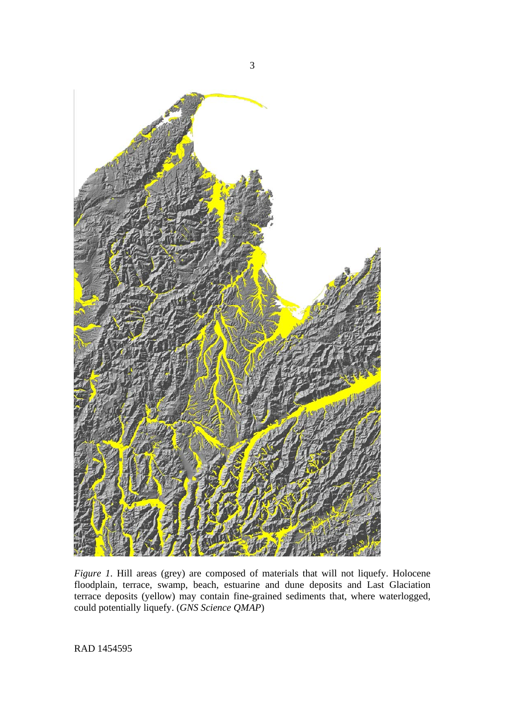

*Figure 1*. Hill areas (grey) are composed of materials that will not liquefy. Holocene floodplain, terrace, swamp, beach, estuarine and dune deposits and Last Glaciation terrace deposits (yellow) may contain fine-grained sediments that, where waterlogged, could potentially liquefy. (*GNS Science QMAP*)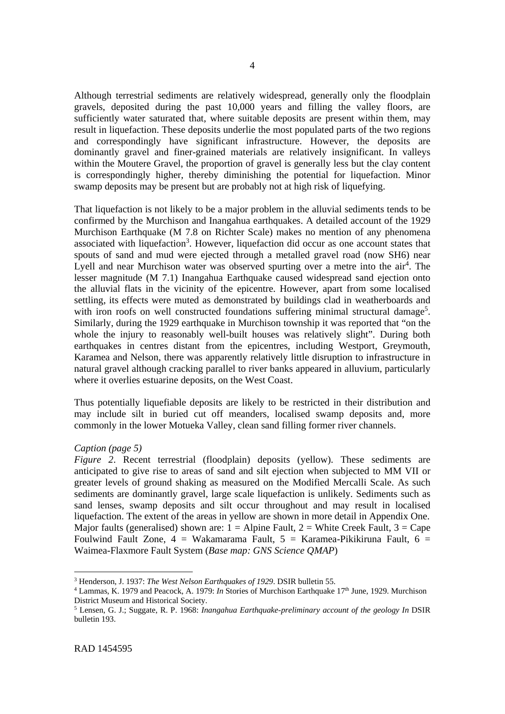Although terrestrial sediments are relatively widespread, generally only the floodplain gravels, deposited during the past 10,000 years and filling the valley floors, are sufficiently water saturated that, where suitable deposits are present within them, may result in liquefaction. These deposits underlie the most populated parts of the two regions and correspondingly have significant infrastructure. However, the deposits are dominantly gravel and finer-grained materials are relatively insignificant. In valleys within the Moutere Gravel, the proportion of gravel is generally less but the clay content is correspondingly higher, thereby diminishing the potential for liquefaction. Minor swamp deposits may be present but are probably not at high risk of liquefying.

That liquefaction is not likely to be a major problem in the alluvial sediments tends to be confirmed by the Murchison and Inangahua earthquakes. A detailed account of the 1929 Murchison Earthquake (M 7.8 on Richter Scale) makes no mention of any phenomena associated with liquefaction<sup>3</sup>. However, liquefaction did occur as one account states that spouts of sand and mud were ejected through a metalled gravel road (now SH6) near Lyell and near Murchison water was observed spurting over a metre into the  $air<sup>4</sup>$ . The lesser magnitude (M 7.1) Inangahua Earthquake caused widespread sand ejection onto the alluvial flats in the vicinity of the epicentre. However, apart from some localised settling, its effects were muted as demonstrated by buildings clad in weatherboards and with iron roofs on well constructed foundations suffering minimal structural damage<sup>5</sup>. Similarly, during the 1929 earthquake in Murchison township it was reported that "on the whole the injury to reasonably well-built houses was relatively slight". During both earthquakes in centres distant from the epicentres, including Westport, Greymouth, Karamea and Nelson, there was apparently relatively little disruption to infrastructure in natural gravel although cracking parallel to river banks appeared in alluvium, particularly where it overlies estuarine deposits, on the West Coast.

Thus potentially liquefiable deposits are likely to be restricted in their distribution and may include silt in buried cut off meanders, localised swamp deposits and, more commonly in the lower Motueka Valley, clean sand filling former river channels.

#### *Caption (page 5)*

*Figure 2.* Recent terrestrial (floodplain) deposits (yellow). These sediments are anticipated to give rise to areas of sand and silt ejection when subjected to MM VII or greater levels of ground shaking as measured on the Modified Mercalli Scale. As such sediments are dominantly gravel, large scale liquefaction is unlikely. Sediments such as sand lenses, swamp deposits and silt occur throughout and may result in localised liquefaction. The extent of the areas in yellow are shown in more detail in Appendix One. Major faults (generalised) shown are:  $1 =$  Alpine Fault,  $2 =$  White Creek Fault,  $3 =$  Cape Foulwind Fault Zone,  $4 = Wakamarama$  Fault,  $5 = Karamea-Pikikiruna Fault, 6 =$ Waimea-Flaxmore Fault System (*Base map: GNS Science QMAP*)

 <sup>3</sup> Henderson, J. 1937: *The West Nelson Earthquakes of 1929*. DSIR bulletin 55.<br><sup>4</sup> Lammas, K. 1979 and Peacock, A. 1979; *In* Stories of Murchison Earthquake

<sup>&</sup>lt;sup>4</sup> Lammas, K. 1979 and Peacock, A. 1979: *In* Stories of Murchison Earthquake 17<sup>th</sup> June, 1929. Murchison District Museum and Historical Society.

<sup>5</sup> Lensen, G. J.; Suggate, R. P. 1968: *Inangahua Earthquake-preliminary account of the geology In* DSIR bulletin 193.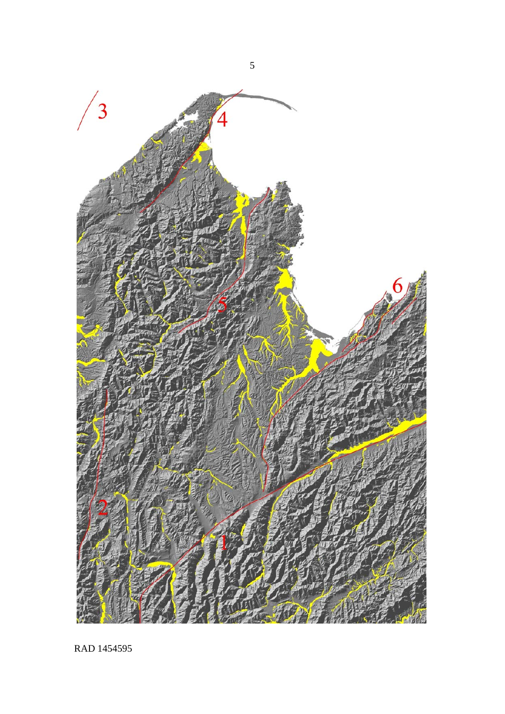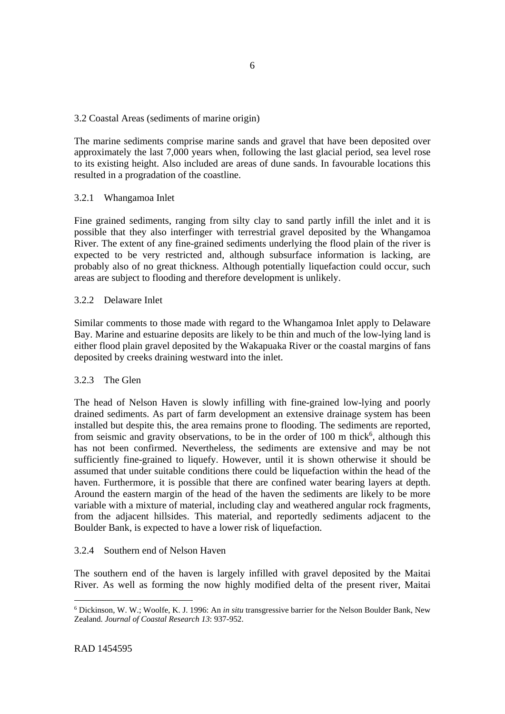## 3.2 Coastal Areas (sediments of marine origin)

The marine sediments comprise marine sands and gravel that have been deposited over approximately the last 7,000 years when, following the last glacial period, sea level rose to its existing height. Also included are areas of dune sands. In favourable locations this resulted in a progradation of the coastline.

## 3.2.1 Whangamoa Inlet

Fine grained sediments, ranging from silty clay to sand partly infill the inlet and it is possible that they also interfinger with terrestrial gravel deposited by the Whangamoa River. The extent of any fine-grained sediments underlying the flood plain of the river is expected to be very restricted and, although subsurface information is lacking, are probably also of no great thickness. Although potentially liquefaction could occur, such areas are subject to flooding and therefore development is unlikely.

# 3.2.2 Delaware Inlet

Similar comments to those made with regard to the Whangamoa Inlet apply to Delaware Bay. Marine and estuarine deposits are likely to be thin and much of the low-lying land is either flood plain gravel deposited by the Wakapuaka River or the coastal margins of fans deposited by creeks draining westward into the inlet.

# 3.2.3 The Glen

The head of Nelson Haven is slowly infilling with fine-grained low-lying and poorly drained sediments. As part of farm development an extensive drainage system has been installed but despite this, the area remains prone to flooding. The sediments are reported, from seismic and gravity observations, to be in the order of  $100 \text{ m}$  thick<sup>6</sup>, although this has not been confirmed. Nevertheless, the sediments are extensive and may be not sufficiently fine-grained to liquefy. However, until it is shown otherwise it should be assumed that under suitable conditions there could be liquefaction within the head of the haven. Furthermore, it is possible that there are confined water bearing layers at depth. Around the eastern margin of the head of the haven the sediments are likely to be more variable with a mixture of material, including clay and weathered angular rock fragments, from the adjacent hillsides. This material, and reportedly sediments adjacent to the Boulder Bank, is expected to have a lower risk of liquefaction.

#### 3.2.4 Southern end of Nelson Haven

The southern end of the haven is largely infilled with gravel deposited by the Maitai River. As well as forming the now highly modified delta of the present river, Maitai

<sup>6</sup> Dickinson, W. W.; Woolfe, K. J. 1996: An *in situ* transgressive barrier for the Nelson Boulder Bank, New Zealand. *Journal of Coastal Research 13*: 937-952.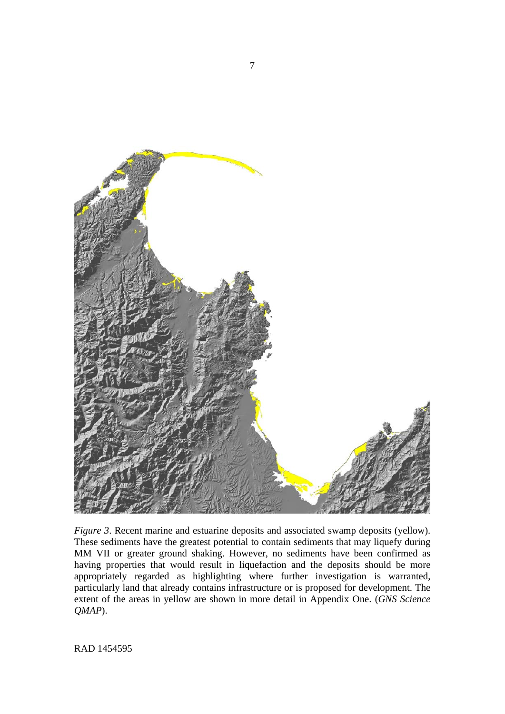

*Figure 3*. Recent marine and estuarine deposits and associated swamp deposits (yellow). These sediments have the greatest potential to contain sediments that may liquefy during MM VII or greater ground shaking. However, no sediments have been confirmed as having properties that would result in liquefaction and the deposits should be more appropriately regarded as highlighting where further investigation is warranted, particularly land that already contains infrastructure or is proposed for development. The extent of the areas in yellow are shown in more detail in Appendix One. (*GNS Science QMAP*).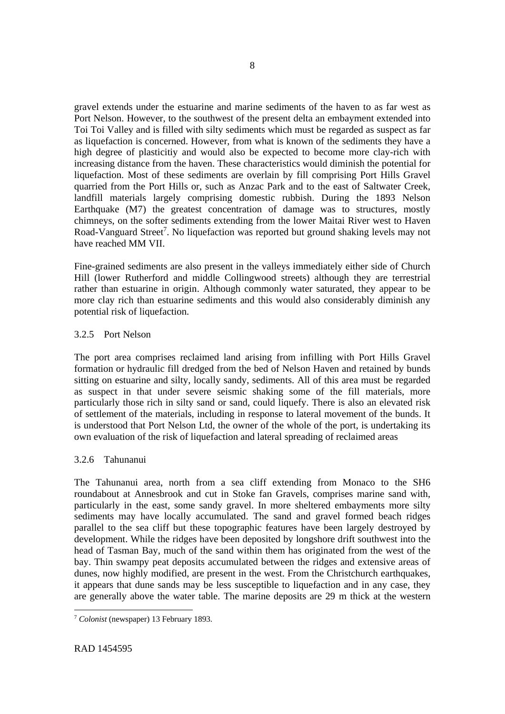gravel extends under the estuarine and marine sediments of the haven to as far west as Port Nelson. However, to the southwest of the present delta an embayment extended into Toi Toi Valley and is filled with silty sediments which must be regarded as suspect as far as liquefaction is concerned. However, from what is known of the sediments they have a high degree of plasticitiy and would also be expected to become more clay-rich with increasing distance from the haven. These characteristics would diminish the potential for liquefaction. Most of these sediments are overlain by fill comprising Port Hills Gravel quarried from the Port Hills or, such as Anzac Park and to the east of Saltwater Creek, landfill materials largely comprising domestic rubbish. During the 1893 Nelson Earthquake (M7) the greatest concentration of damage was to structures, mostly chimneys, on the softer sediments extending from the lower Maitai River west to Haven Road-Vanguard Street<sup>7</sup>. No liquefaction was reported but ground shaking levels may not have reached MM VII.

Fine-grained sediments are also present in the valleys immediately either side of Church Hill (lower Rutherford and middle Collingwood streets) although they are terrestrial rather than estuarine in origin. Although commonly water saturated, they appear to be more clay rich than estuarine sediments and this would also considerably diminish any potential risk of liquefaction.

## 3.2.5 Port Nelson

The port area comprises reclaimed land arising from infilling with Port Hills Gravel formation or hydraulic fill dredged from the bed of Nelson Haven and retained by bunds sitting on estuarine and silty, locally sandy, sediments. All of this area must be regarded as suspect in that under severe seismic shaking some of the fill materials, more particularly those rich in silty sand or sand, could liquefy. There is also an elevated risk of settlement of the materials, including in response to lateral movement of the bunds. It is understood that Port Nelson Ltd, the owner of the whole of the port, is undertaking its own evaluation of the risk of liquefaction and lateral spreading of reclaimed areas

#### 3.2.6 Tahunanui

The Tahunanui area, north from a sea cliff extending from Monaco to the SH6 roundabout at Annesbrook and cut in Stoke fan Gravels, comprises marine sand with, particularly in the east, some sandy gravel. In more sheltered embayments more silty sediments may have locally accumulated. The sand and gravel formed beach ridges parallel to the sea cliff but these topographic features have been largely destroyed by development. While the ridges have been deposited by longshore drift southwest into the head of Tasman Bay, much of the sand within them has originated from the west of the bay. Thin swampy peat deposits accumulated between the ridges and extensive areas of dunes, now highly modified, are present in the west. From the Christchurch earthquakes, it appears that dune sands may be less susceptible to liquefaction and in any case, they are generally above the water table. The marine deposits are 29 m thick at the western

 $\overline{a}$ 

<sup>7</sup> *Colonist* (newspaper) 13 February 1893.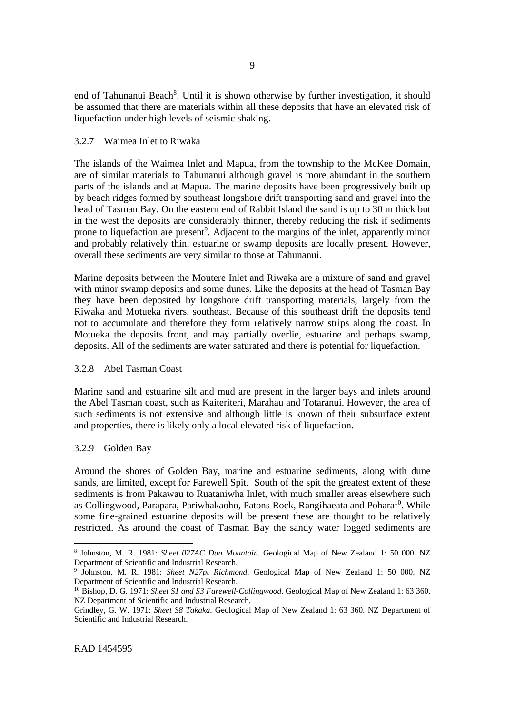end of Tahunanui Beach<sup>8</sup>. Until it is shown otherwise by further investigation, it should be assumed that there are materials within all these deposits that have an elevated risk of liquefaction under high levels of seismic shaking.

## 3.2.7 Waimea Inlet to Riwaka

The islands of the Waimea Inlet and Mapua, from the township to the McKee Domain, are of similar materials to Tahunanui although gravel is more abundant in the southern parts of the islands and at Mapua. The marine deposits have been progressively built up by beach ridges formed by southeast longshore drift transporting sand and gravel into the head of Tasman Bay. On the eastern end of Rabbit Island the sand is up to 30 m thick but in the west the deposits are considerably thinner, thereby reducing the risk if sediments prone to liquefaction are present<sup>9</sup>. Adjacent to the margins of the inlet, apparently minor and probably relatively thin, estuarine or swamp deposits are locally present. However, overall these sediments are very similar to those at Tahunanui.

Marine deposits between the Moutere Inlet and Riwaka are a mixture of sand and gravel with minor swamp deposits and some dunes. Like the deposits at the head of Tasman Bay they have been deposited by longshore drift transporting materials, largely from the Riwaka and Motueka rivers, southeast. Because of this southeast drift the deposits tend not to accumulate and therefore they form relatively narrow strips along the coast. In Motueka the deposits front, and may partially overlie, estuarine and perhaps swamp, deposits. All of the sediments are water saturated and there is potential for liquefaction.

#### 3.2.8 Abel Tasman Coast

Marine sand and estuarine silt and mud are present in the larger bays and inlets around the Abel Tasman coast, such as Kaiteriteri, Marahau and Totaranui. However, the area of such sediments is not extensive and although little is known of their subsurface extent and properties, there is likely only a local elevated risk of liquefaction.

# 3.2.9 Golden Bay

Around the shores of Golden Bay, marine and estuarine sediments, along with dune sands, are limited, except for Farewell Spit. South of the spit the greatest extent of these sediments is from Pakawau to Ruataniwha Inlet, with much smaller areas elsewhere such as Collingwood, Parapara, Pariwhakaoho, Patons Rock, Rangihaeata and Pohara<sup>10</sup>. While some fine-grained estuarine deposits will be present these are thought to be relatively restricted. As around the coast of Tasman Bay the sandy water logged sediments are

<sup>8</sup> Johnston, M. R. 1981: *Sheet 027AC Dun Mountain*. Geological Map of New Zealand 1: 50 000. NZ Department of Scientific and Industrial Research.

<sup>9</sup> Johnston, M. R. 1981: *Sheet N27pt Richmond*. Geological Map of New Zealand 1: 50 000. NZ Department of Scientific and Industrial Research.

<sup>10</sup> Bishop, D. G. 1971: *Sheet S1 and S3 Farewell-Collingwood*. Geological Map of New Zealand 1: 63 360. NZ Department of Scientific and Industrial Research.

Grindley, G. W. 1971: *Sheet S8 Takaka*. Geological Map of New Zealand 1: 63 360. NZ Department of Scientific and Industrial Research.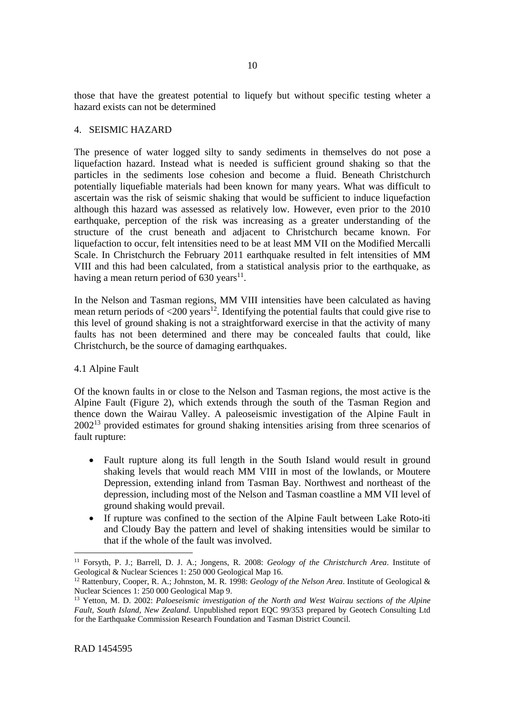those that have the greatest potential to liquefy but without specific testing wheter a hazard exists can not be determined

## 4. SEISMIC HAZARD

The presence of water logged silty to sandy sediments in themselves do not pose a liquefaction hazard. Instead what is needed is sufficient ground shaking so that the particles in the sediments lose cohesion and become a fluid. Beneath Christchurch potentially liquefiable materials had been known for many years. What was difficult to ascertain was the risk of seismic shaking that would be sufficient to induce liquefaction although this hazard was assessed as relatively low. However, even prior to the 2010 earthquake, perception of the risk was increasing as a greater understanding of the structure of the crust beneath and adjacent to Christchurch became known. For liquefaction to occur, felt intensities need to be at least MM VII on the Modified Mercalli Scale. In Christchurch the February 2011 earthquake resulted in felt intensities of MM VIII and this had been calculated, from a statistical analysis prior to the earthquake, as having a mean return period of  $630 \text{ years}^{11}$ .

In the Nelson and Tasman regions, MM VIII intensities have been calculated as having mean return periods of  $\langle 200 \text{ years}^{12} \rangle$ . Identifying the potential faults that could give rise to this level of ground shaking is not a straightforward exercise in that the activity of many faults has not been determined and there may be concealed faults that could, like Christchurch, be the source of damaging earthquakes.

#### 4.1 Alpine Fault

Of the known faults in or close to the Nelson and Tasman regions, the most active is the Alpine Fault (Figure 2), which extends through the south of the Tasman Region and thence down the Wairau Valley. A paleoseismic investigation of the Alpine Fault in 2002<sup>13</sup> provided estimates for ground shaking intensities arising from three scenarios of fault rupture:

- Fault rupture along its full length in the South Island would result in ground shaking levels that would reach MM VIII in most of the lowlands, or Moutere Depression, extending inland from Tasman Bay. Northwest and northeast of the depression, including most of the Nelson and Tasman coastline a MM VII level of ground shaking would prevail.
- If rupture was confined to the section of the Alpine Fault between Lake Roto-iti and Cloudy Bay the pattern and level of shaking intensities would be similar to that if the whole of the fault was involved.

l

<sup>11</sup> Forsyth, P. J.; Barrell, D. J. A.; Jongens, R. 2008: *Geology of the Christchurch Area*. Institute of Geological & Nuclear Sciences 1: 250 000 Geological Map 16.

<sup>12</sup> Rattenbury, Cooper, R. A.; Johnston, M. R. 1998: *Geology of the Nelson Area*. Institute of Geological & Nuclear Sciences 1: 250 000 Geological Map 9.

<sup>13</sup> Yetton, M. D. 2002: *Paloeseismic investigation of the North and West Wairau sections of the Alpine Fault, South Island, New Zealand*. Unpublished report EQC 99/353 prepared by Geotech Consulting Ltd for the Earthquake Commission Research Foundation and Tasman District Council.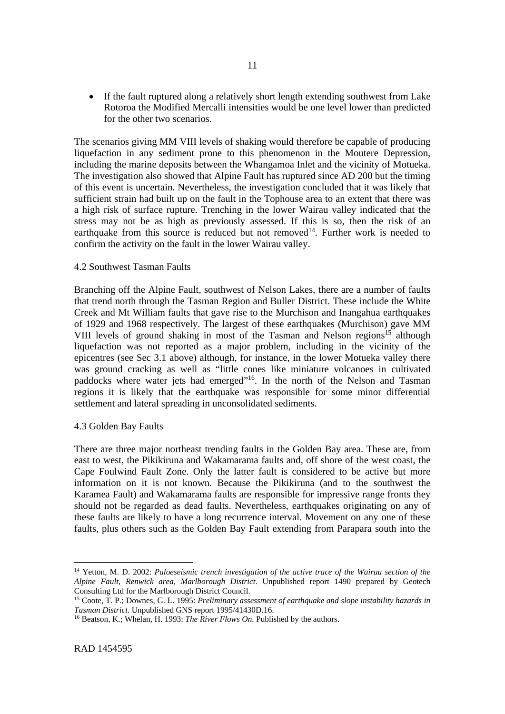If the fault ruptured along a relatively short length extending southwest from Lake Rotoroa the Modified Mercalli intensities would be one level lower than predicted for the other two scenarios.

The scenarios giving MM VIII levels of shaking would therefore be capable of producing liquefaction in any sediment prone to this phenomenon in the Moutere Depression, including the marine deposits between the Whangamoa Inlet and the vicinity of Motueka. The investigation also showed that Alpine Fault has ruptured since AD 200 but the timing of this event is uncertain. Nevertheless, the investigation concluded that it was likely that sufficient strain had built up on the fault in the Tophouse area to an extent that there was a high risk of surface rupture. Trenching in the lower Wairau valley indicated that the stress may not be as high as previously assessed. If this is so, then the risk of an earthquake from this source is reduced but not removed<sup>14</sup>. Further work is needed to confirm the activity on the fault in the lower Wairau valley.

## 4.2 Southwest Tasman Faults

Branching off the Alpine Fault, southwest of Nelson Lakes, there are a number of faults that trend north through the Tasman Region and Buller District. These include the White Creek and Mt William faults that gave rise to the Murchison and Inangahua earthquakes of 1929 and 1968 respectively. The largest of these earthquakes (Murchison) gave MM VIII levels of ground shaking in most of the Tasman and Nelson regions<sup>15</sup> although liquefaction was not reported as a major problem, including in the vicinity of the epicentres (see Sec 3.1 above) although, for instance, in the lower Motueka valley there was ground cracking as well as "little cones like miniature volcanoes in cultivated paddocks where water jets had emerged"16. In the north of the Nelson and Tasman regions it is likely that the earthquake was responsible for some minor differential settlement and lateral spreading in unconsolidated sediments.

#### 4.3 Golden Bay Faults

There are three major northeast trending faults in the Golden Bay area. These are, from east to west, the Pikikiruna and Wakamarama faults and, off shore of the west coast, the Cape Foulwind Fault Zone. Only the latter fault is considered to be active but more information on it is not known. Because the Pikikiruna (and to the southwest the Karamea Fault) and Wakamarama faults are responsible for impressive range fronts they should not be regarded as dead faults. Nevertheless, earthquakes originating on any of these faults are likely to have a long recurrence interval. Movement on any one of these faults, plus others such as the Golden Bay Fault extending from Parapara south into the

<sup>14</sup> Yetton, M. D. 2002: *Paloeseismic trench investigation of the active trace of the Wairau section of the Alpine Fault, Renwick area, Marlborough District*. Unpublished report 1490 prepared by Geotech Consulting Ltd for the Marlborough District Council.

<sup>&</sup>lt;sup>15</sup> Coote, T. P.; Downes, G. L. 1995: *Preliminary assessment of earthquake and slope instability hazards in Tasman District. Unpublished GNS report 1995/41430D.16.* 

<sup>&</sup>lt;sup>16</sup> Beatson, K.; Whelan, H. 1993: *The River Flows On*. Published by the authors.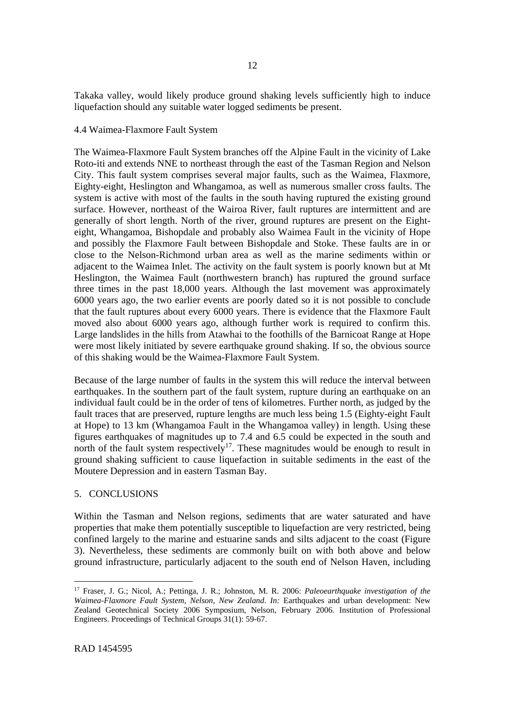Takaka valley, would likely produce ground shaking levels sufficiently high to induce liquefaction should any suitable water logged sediments be present.

## 4.4 Waimea-Flaxmore Fault System

The Waimea-Flaxmore Fault System branches off the Alpine Fault in the vicinity of Lake Roto-iti and extends NNE to northeast through the east of the Tasman Region and Nelson City. This fault system comprises several major faults, such as the Waimea, Flaxmore, Eighty-eight, Heslington and Whangamoa, as well as numerous smaller cross faults. The system is active with most of the faults in the south having ruptured the existing ground surface. However, northeast of the Wairoa River, fault ruptures are intermittent and are generally of short length. North of the river, ground ruptures are present on the Eighteight, Whangamoa, Bishopdale and probably also Waimea Fault in the vicinity of Hope and possibly the Flaxmore Fault between Bishopdale and Stoke. These faults are in or close to the Nelson-Richmond urban area as well as the marine sediments within or adjacent to the Waimea Inlet. The activity on the fault system is poorly known but at Mt Heslington, the Waimea Fault (northwestern branch) has ruptured the ground surface three times in the past 18,000 years. Although the last movement was approximately 6000 years ago, the two earlier events are poorly dated so it is not possible to conclude that the fault ruptures about every 6000 years. There is evidence that the Flaxmore Fault moved also about 6000 years ago, although further work is required to confirm this. Large landslides in the hills from Atawhai to the foothills of the Barnicoat Range at Hope were most likely initiated by severe earthquake ground shaking. If so, the obvious source of this shaking would be the Waimea-Flaxmore Fault System.

Because of the large number of faults in the system this will reduce the interval between earthquakes. In the southern part of the fault system, rupture during an earthquake on an individual fault could be in the order of tens of kilometres. Further north, as judged by the fault traces that are preserved, rupture lengths are much less being 1.5 (Eighty-eight Fault at Hope) to 13 km (Whangamoa Fault in the Whangamoa valley) in length. Using these figures earthquakes of magnitudes up to 7.4 and 6.5 could be expected in the south and north of the fault system respectively<sup>17</sup>. These magnitudes would be enough to result in ground shaking sufficient to cause liquefaction in suitable sediments in the east of the Moutere Depression and in eastern Tasman Bay.

#### 5. CONCLUSIONS

Within the Tasman and Nelson regions, sediments that are water saturated and have properties that make them potentially susceptible to liquefaction are very restricted, being confined largely to the marine and estuarine sands and silts adjacent to the coast (Figure 3). Nevertheless, these sediments are commonly built on with both above and below ground infrastructure, particularly adjacent to the south end of Nelson Haven, including

<sup>17</sup> Fraser, J. G.; Nicol, A.; Pettinga, J. R.; Johnston, M. R. 2006: *Paleoearthquake investigation of the Waimea-Flaxmore Fault System, Nelson, New Zealand*. *In:* Earthquakes and urban development: New Zealand Geotechnical Society 2006 Symposium, Nelson, February 2006. Institution of Professional Engineers. Proceedings of Technical Groups 31(1): 59-67.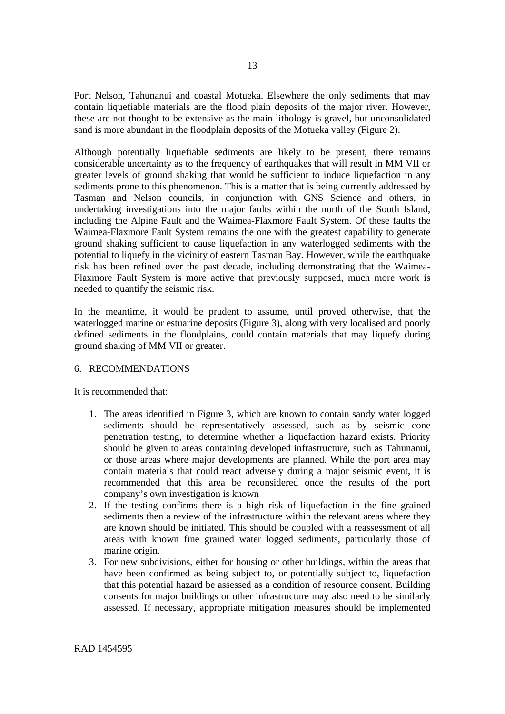Port Nelson, Tahunanui and coastal Motueka. Elsewhere the only sediments that may contain liquefiable materials are the flood plain deposits of the major river. However, these are not thought to be extensive as the main lithology is gravel, but unconsolidated sand is more abundant in the floodplain deposits of the Motueka valley (Figure 2).

Although potentially liquefiable sediments are likely to be present, there remains considerable uncertainty as to the frequency of earthquakes that will result in MM VII or greater levels of ground shaking that would be sufficient to induce liquefaction in any sediments prone to this phenomenon. This is a matter that is being currently addressed by Tasman and Nelson councils, in conjunction with GNS Science and others, in undertaking investigations into the major faults within the north of the South Island, including the Alpine Fault and the Waimea-Flaxmore Fault System. Of these faults the Waimea-Flaxmore Fault System remains the one with the greatest capability to generate ground shaking sufficient to cause liquefaction in any waterlogged sediments with the potential to liquefy in the vicinity of eastern Tasman Bay. However, while the earthquake risk has been refined over the past decade, including demonstrating that the Waimea-Flaxmore Fault System is more active that previously supposed, much more work is needed to quantify the seismic risk.

In the meantime, it would be prudent to assume, until proved otherwise, that the waterlogged marine or estuarine deposits (Figure 3), along with very localised and poorly defined sediments in the floodplains, could contain materials that may liquefy during ground shaking of MM VII or greater.

#### 6. RECOMMENDATIONS

It is recommended that:

- 1. The areas identified in Figure 3, which are known to contain sandy water logged sediments should be representatively assessed, such as by seismic cone penetration testing, to determine whether a liquefaction hazard exists. Priority should be given to areas containing developed infrastructure, such as Tahunanui, or those areas where major developments are planned. While the port area may contain materials that could react adversely during a major seismic event, it is recommended that this area be reconsidered once the results of the port company's own investigation is known
- 2. If the testing confirms there is a high risk of liquefaction in the fine grained sediments then a review of the infrastructure within the relevant areas where they are known should be initiated. This should be coupled with a reassessment of all areas with known fine grained water logged sediments, particularly those of marine origin.
- 3. For new subdivisions, either for housing or other buildings, within the areas that have been confirmed as being subject to, or potentially subject to, liquefaction that this potential hazard be assessed as a condition of resource consent. Building consents for major buildings or other infrastructure may also need to be similarly assessed. If necessary, appropriate mitigation measures should be implemented